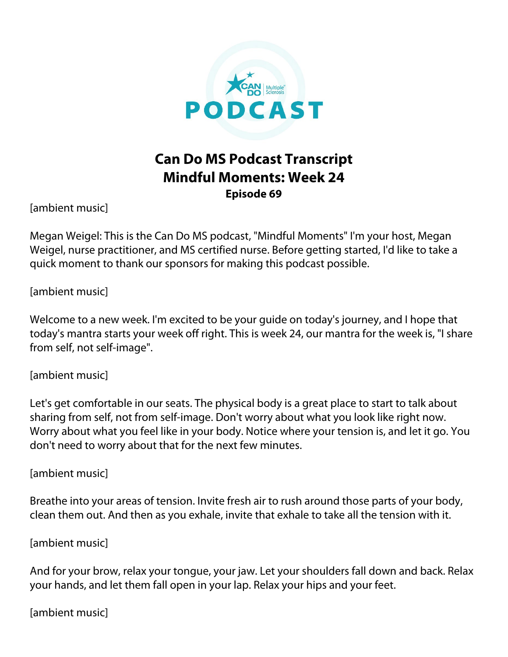

## **Can Do MS Podcast Transcript Mindful Moments: Week 24 Episode 69**

[ambient music]

Megan Weigel: This is the Can Do MS podcast, "Mindful Moments" I'm your host, Megan Weigel, nurse practitioner, and MS certified nurse. Before getting started, I'd like to take a quick moment to thank our sponsors for making this podcast possible.

[ambient music]

Welcome to a new week. I'm excited to be your guide on today's journey, and I hope that today's mantra starts your week off right. This is week 24, our mantra for the week is, "I share from self, not self-image".

[ambient music]

Let's get comfortable in our seats. The physical body is a great place to start to talk about sharing from self, not from self-image. Don't worry about what you look like right now. Worry about what you feel like in your body. Notice where your tension is, and let it go. You don't need to worry about that for the next few minutes.

[ambient music]

Breathe into your areas of tension. Invite fresh air to rush around those parts of your body, clean them out. And then as you exhale, invite that exhale to take all the tension with it.

[ambient music]

And for your brow, relax your tongue, your jaw. Let your shoulders fall down and back. Relax your hands, and let them fall open in your lap. Relax your hips and your feet.

[ambient music]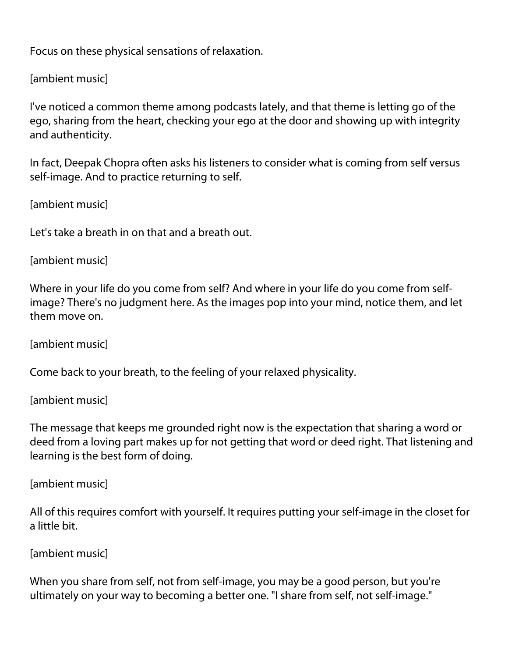Focus on these physical sensations of relaxation.

[ambient music]

I've noticed a common theme among podcasts lately, and that theme is letting go of the ego, sharing from the heart, checking your ego at the door and showing up with integrity and authenticity.

In fact, Deepak Chopra often asks his listeners to consider what is coming from self versus self-image. And to practice returning to self.

[ambient music]

Let's take a breath in on that and a breath out.

```
[ambient music]
```
Where in your life do you come from self? And where in your life do you come from selfimage? There's no judgment here. As the images pop into your mind, notice them, and let them move on.

[ambient music]

Come back to your breath, to the feeling of your relaxed physicality.

[ambient music]

The message that keeps me grounded right now is the expectation that sharing a word or deed from a loving part makes up for not getting that word or deed right. That listening and learning is the best form of doing.

[ambient music]

All of this requires comfort with yourself. It requires putting your self-image in the closet for a little bit.

[ambient music]

When you share from self, not from self-image, you may be a good person, but you're ultimately on your way to becoming a better one. "I share from self, not self-image."